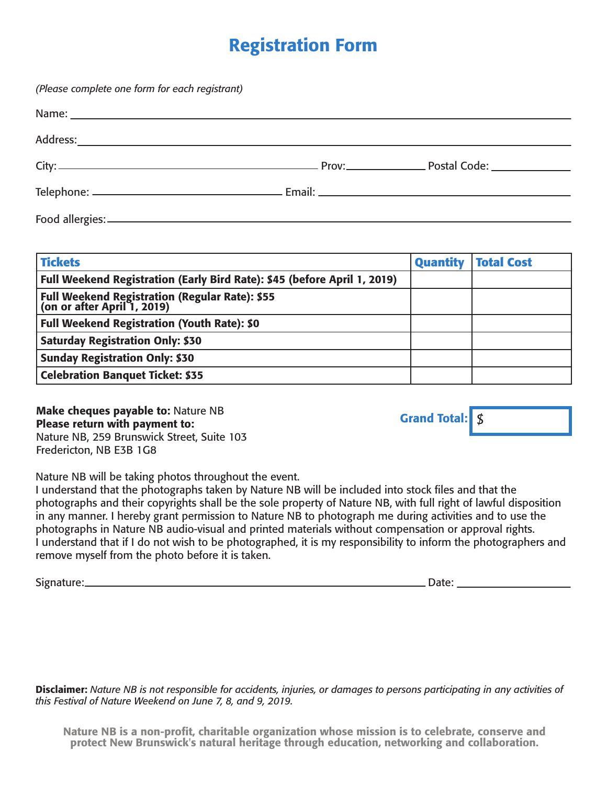## Registration Form

*(Please complete one form for each registrant)* Name: <u>with the contract of the contract of the contract of the contract of the contract of the contract of the contract of the contract of the contract of the contract of the contract of the contract of the contract of th</u> Address: City: Prov: Postal Code: Telephone: Email: Food allergies:

| <b>Tickets</b>                                                             | <b>Quantity</b> | <b>Total Cost</b> |
|----------------------------------------------------------------------------|-----------------|-------------------|
| Full Weekend Registration (Early Bird Rate): \$45 (before April 1, 2019)   |                 |                   |
| Full Weekend Registration (Regular Rate): \$55 (on or after April 1, 2019) |                 |                   |
| <b>Full Weekend Registration (Youth Rate): \$0</b>                         |                 |                   |
| <b>Saturday Registration Only: \$30</b>                                    |                 |                   |
| <b>Sunday Registration Only: \$30</b>                                      |                 |                   |
| <b>Celebration Banquet Ticket: \$35</b>                                    |                 |                   |

**Make cheques payable to: Nature NB** Please return with payment to: Nature NB, 259 Brunswick Street, Suite 103 Fredericton, NB E3B 1G8

Grand Total: \$

Nature NB will be taking photos throughout the event.

I understand that the photographs taken by Nature NB will be included into stock files and that the photographs and their copyrights shall be the sole property of Nature NB, with full right of lawful disposition in any manner. I hereby grant permission to Nature NB to photograph me during activities and to use the photographs in Nature NB audio-visual and printed materials without compensation or approval rights. I understand that if I do not wish to be photographed, it is my responsibility to inform the photographers and remove myself from the photo before it is taken.

Signature: Date:

Disclaimer: *Nature NB is not responsible for accidents, injuries, or damages to persons participating in any activities of this Festival of Nature Weekend on June 7, 8, and 9, 2019.*

Nature NB is a non-profit, charitable organization whose mission is to celebrate, conserve and protect New Brunswick's natural heritage through education, networking and collaboration.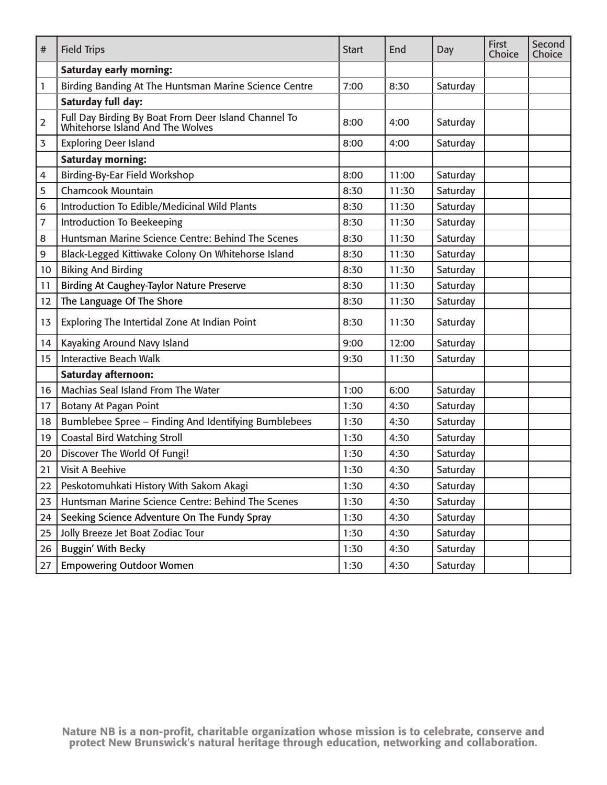| #              | <b>Field Trips</b>                                                                       | <b>Start</b> | End   | Day      | <b>First</b><br>Choice | Second<br>Choice |
|----------------|------------------------------------------------------------------------------------------|--------------|-------|----------|------------------------|------------------|
|                | <b>Saturday early morning:</b>                                                           |              |       |          |                        |                  |
| 1              | Birding Banding At The Huntsman Marine Science Centre                                    | 7:00         | 8:30  | Saturday |                        |                  |
|                | Saturday full day:                                                                       |              |       |          |                        |                  |
| $\overline{2}$ | Full Day Birding By Boat From Deer Island Channel To<br>Whitehorse Island And The Wolves | 8:00         | 4:00  | Saturday |                        |                  |
| 3              | <b>Exploring Deer Island</b>                                                             | 8:00         | 4:00  | Saturday |                        |                  |
|                | <b>Saturday morning:</b>                                                                 |              |       |          |                        |                  |
| 4              | Birding-By-Ear Field Workshop                                                            | 8:00         | 11:00 | Saturday |                        |                  |
| 5              | <b>Chamcook Mountain</b>                                                                 | 8:30         | 11:30 | Saturday |                        |                  |
| 6              | Introduction To Edible/Medicinal Wild Plants                                             | 8:30         | 11:30 | Saturday |                        |                  |
| 7              | <b>Introduction To Beekeeping</b>                                                        | 8:30         | 11:30 | Saturday |                        |                  |
| 8              | Huntsman Marine Science Centre: Behind The Scenes                                        | 8:30         | 11:30 | Saturday |                        |                  |
| 9              | Black-Legged Kittiwake Colony On Whitehorse Island                                       | 8:30         | 11:30 | Saturday |                        |                  |
| 10             | <b>Biking And Birding</b>                                                                | 8:30         | 11:30 | Saturday |                        |                  |
| 11             | <b>Birding At Caughey-Taylor Nature Preserve</b>                                         | 8:30         | 11:30 | Saturday |                        |                  |
| 12             | The Language Of The Shore                                                                | 8:30         | 11:30 | Saturday |                        |                  |
| 13             | Exploring The Intertidal Zone At Indian Point                                            | 8:30         | 11:30 | Saturday |                        |                  |
| 14             | Kayaking Around Navy Island                                                              | 9:00         | 12:00 | Saturday |                        |                  |
| 15             | <b>Interactive Beach Walk</b>                                                            | 9:30         | 11:30 | Saturday |                        |                  |
|                | <b>Saturday afternoon:</b>                                                               |              |       |          |                        |                  |
| 16             | Machias Seal Island From The Water                                                       | 1:00         | 6:00  | Saturday |                        |                  |
| 17             | Botany At Pagan Point                                                                    | 1:30         | 4:30  | Saturday |                        |                  |
| 18             | Bumblebee Spree - Finding And Identifying Bumblebees                                     | 1:30         | 4:30  | Saturday |                        |                  |
| 19             | <b>Coastal Bird Watching Stroll</b>                                                      | 1:30         | 4:30  | Saturday |                        |                  |
| 20             | Discover The World Of Fungi!                                                             | 1:30         | 4:30  | Saturday |                        |                  |
| 21             | <b>Visit A Beehive</b>                                                                   | 1:30         | 4:30  | Saturday |                        |                  |
| 22             | Peskotomuhkati History With Sakom Akagi                                                  | 1:30         | 4:30  | Saturday |                        |                  |
| 23             | Huntsman Marine Science Centre: Behind The Scenes                                        | 1:30         | 4:30  | Saturday |                        |                  |
| 24             | Seeking Science Adventure On The Fundy Spray                                             | 1:30         | 4:30  | Saturday |                        |                  |
| 25             | Jolly Breeze Jet Boat Zodiac Tour                                                        | 1:30         | 4:30  | Saturday |                        |                  |
| 26             | Buggin' With Becky                                                                       | 1:30         | 4:30  | Saturday |                        |                  |
| 27             | <b>Empowering Outdoor Women</b>                                                          | 1:30         | 4:30  | Saturday |                        |                  |